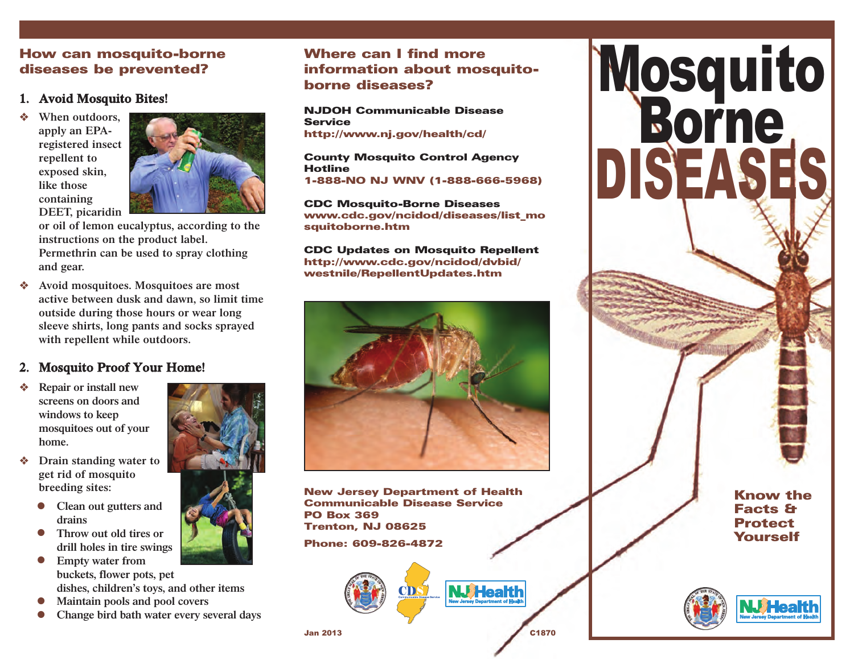### How can mosquito-borne diseases be prevented?

#### **1. Avoid Mosquito Bites!**

v **When outdoors, apply an EPAregistered insect repellent to exposed skin, like those containing DEET, picaridin**



**or oil of lemon eucalyptus, according to the instructions on the product label. Permethrin can be used to spray clothing and gear.** 

v **Avoid mosquitoes. Mosquitoes are most active between dusk and dawn, so limit time outside during those hours or wear long sleeve shirts, long pants and socks sprayed with repellent while outdoors.**

## **2. Mosquito Proof Your Home!**

- v **Repair or install new screens on doors and windows to keep mosquitoes out of your home.**
- Drain standing water to **get rid of mosquito breeding sites:** 
	- **lacks Clean out gutters and drains**
	- $\bullet$  Throw out old tires or **drill holes in tire swings**
	- **•** Empty water from **buckets, flower pots, pet dishes, children's toys, and other items**
	- <sup>l</sup> **Maintain pools and pool covers**
	- <sup>l</sup> **Change bird bath water every several days**





# Where can I find more information about mosquitoborne diseases?

NJDOH Communicable Disease **Service** http://www.nj.gov/health/cd/

County Mosquito Control Agency Hotline 1-888-NO NJ WNV (1-888-666-5968)

CDC Mosquito-Borne Diseases www.cdc.gov/ncidod/diseases/list\_mo squitoborne.htm

CDC Updates on Mosquito Repellent http://www.cdc.gov/ncidod/dvbid/ westnile/RepellentUpdates.htm



New Jersey Department of Health Communicable Disease Service PO Box 369 Trenton, NJ 08625

Phone: 609-826-4872





**NJ Health**